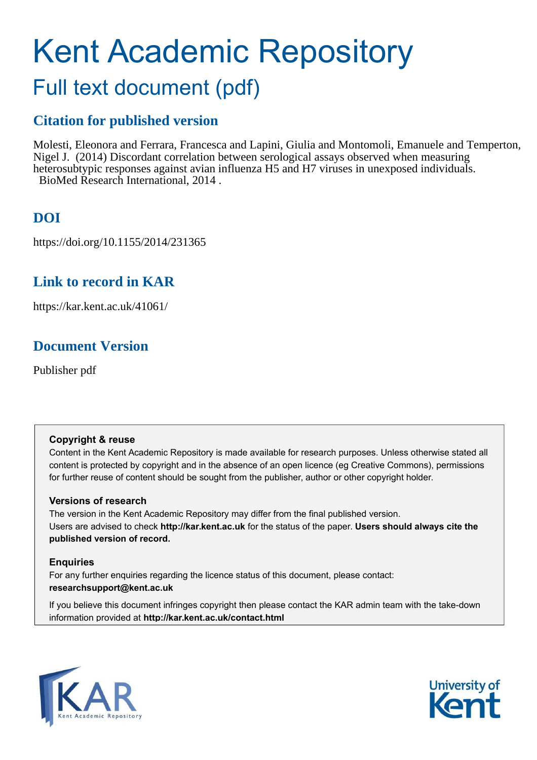# Kent Academic Repository Full text document (pdf)

## **Citation for published version**

Molesti, Eleonora and Ferrara, Francesca and Lapini, Giulia and Montomoli, Emanuele and Temperton, Nigel J. (2014) Discordant correlation between serological assays observed when measuring heterosubtypic responses against avian influenza H5 and H7 viruses in unexposed individuals. BioMed Research International, 2014 .

# **DOI**

https://doi.org/10.1155/2014/231365

### **Link to record in KAR**

https://kar.kent.ac.uk/41061/

### **Document Version**

Publisher pdf

### **Copyright & reuse**

Content in the Kent Academic Repository is made available for research purposes. Unless otherwise stated all content is protected by copyright and in the absence of an open licence (eg Creative Commons), permissions for further reuse of content should be sought from the publisher, author or other copyright holder.

### **Versions of research**

The version in the Kent Academic Repository may differ from the final published version. Users are advised to check **http://kar.kent.ac.uk** for the status of the paper. **Users should always cite the published version of record.**

### **Enquiries**

For any further enquiries regarding the licence status of this document, please contact: **researchsupport@kent.ac.uk**

If you believe this document infringes copyright then please contact the KAR admin team with the take-down information provided at **http://kar.kent.ac.uk/contact.html**



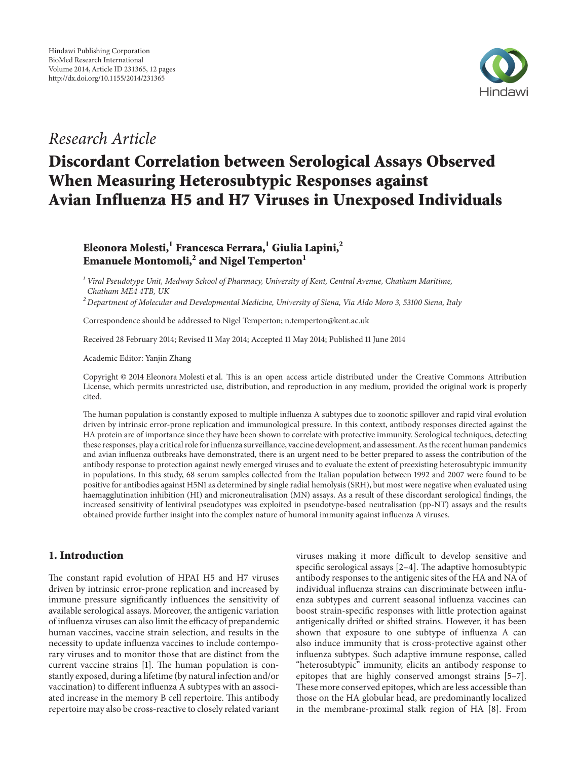

### Research Article

# Discordant Correlation between Serological Assays Observed When Measuring Heterosubtypic Responses against Avian Influenza H5 and H7 Viruses in Unexposed Individuals

Eleonora Molesti,<sup>1</sup> Francesca Ferrara,<sup>1</sup> Giulia Lapini,<sup>2</sup> Emanuele Montomoli, $^2$  and Nigel Temperton $^1$ 

<sup>1</sup> Viral Pseudotype Unit, Medway School of Pharmacy, University of Kent, Central Avenue, Chatham Maritime, Chatham ME4 4TB, UK

 $2$  Department of Molecular and Developmental Medicine, University of Siena, Via Aldo Moro 3, 53100 Siena, Italy

Correspondence should be addressed to Nigel Temperton; n.temperton@kent.ac.uk

Received 28 February 2014; Revised 11 May 2014; Accepted 11 May 2014; Published 11 June 2014

Academic Editor: Yanjin Zhang

Copyright © 2014 Eleonora Molesti et al. This is an open access article distributed under the Creative Commons Attribution License, which permits unrestricted use, distribution, and reproduction in any medium, provided the original work is properly cited.

he human population is constantly exposed to multiple inluenza A subtypes due to zoonotic spillover and rapid viral evolution driven by intrinsic error-prone replication and immunological pressure. In this context, antibody responses directed against the HA protein are of importance since they have been shown to correlate with protective immunity. Serological techniques, detecting these responses, play a critical role for inluenza surveillance, vaccine development, and assessment. As the recent human pandemics and avian inluenza outbreaks have demonstrated, there is an urgent need to be better prepared to assess the contribution of the antibody response to protection against newly emerged viruses and to evaluate the extent of preexisting heterosubtypic immunity in populations. In this study, 68 serum samples collected from the Italian population between 1992 and 2007 were found to be positive for antibodies against H5N1 as determined by single radial hemolysis (SRH), but most were negative when evaluated using haemagglutination inhibition (HI) and microneutralisation (MN) assays. As a result of these discordant serological indings, the increased sensitivity of lentiviral pseudotypes was exploited in pseudotype-based neutralisation (pp-NT) assays and the results obtained provide further insight into the complex nature of humoral immunity against inluenza A viruses.

### 1. Introduction

he constant rapid evolution of HPAI H5 and H7 viruses driven by intrinsic error-prone replication and increased by immune pressure significantly influences the sensitivity of available serological assays. Moreover, the antigenic variation of influenza viruses can also limit the efficacy of prepandemic human vaccines, vaccine strain selection, and results in the necessity to update inluenza vaccines to include contemporary viruses and to monitor those that are distinct from the current vaccine strains [1]. The human population is constantly exposed, during a lifetime (by natural infection and/or vaccination) to diferent inluenza A subtypes with an associated increase in the memory B cell repertoire. This antibody repertoire may also be cross-reactive to closely related variant

viruses making it more difficult to develop sensitive and specific serological assays  $[2-4]$ . The adaptive homosubtypic antibody responses to the antigenic sites of the HA and NA of individual influenza strains can discriminate between influenza subtypes and current seasonal inluenza vaccines can boost strain-speciic responses with little protection against antigenically drited or shited strains. However, it has been shown that exposure to one subtype of influenza A can also induce immunity that is cross-protective against other influenza subtypes. Such adaptive immune response, called "heterosubtypic" immunity, elicits an antibody response to epitopes that are highly conserved amongst strains [5–7]. hese more conserved epitopes, which are less accessible than those on the HA globular head, are predominantly localized in the membrane-proximal stalk region of HA [8]. From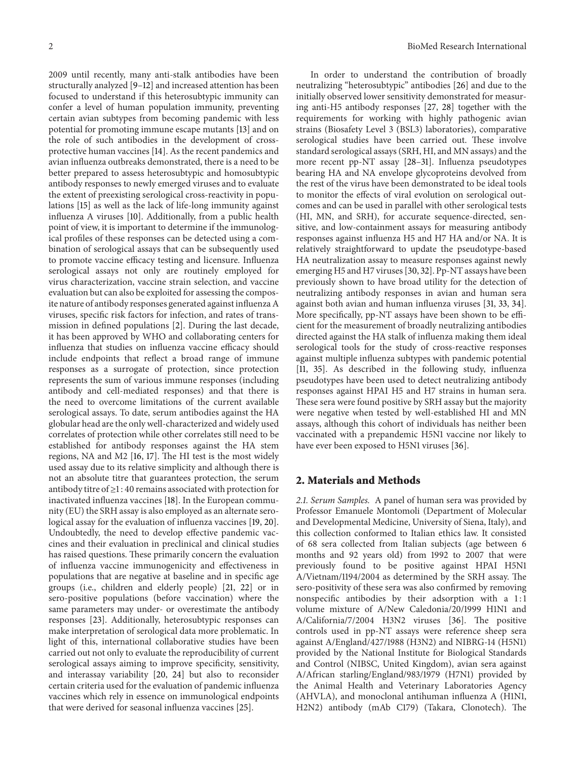2009 until recently, many anti-stalk antibodies have been structurally analyzed [9–12] and increased attention has been focused to understand if this heterosubtypic immunity can confer a level of human population immunity, preventing certain avian subtypes from becoming pandemic with less potential for promoting immune escape mutants [13] and on the role of such antibodies in the development of crossprotective human vaccines [14]. As the recent pandemics and avian inluenza outbreaks demonstrated, there is a need to be better prepared to assess heterosubtypic and homosubtypic antibody responses to newly emerged viruses and to evaluate the extent of preexisting serological cross-reactivity in populations [15] as well as the lack of life-long immunity against influenza A viruses [10]. Additionally, from a public health point of view, it is important to determine if the immunological profiles of these responses can be detected using a combination of serological assays that can be subsequently used to promote vaccine efficacy testing and licensure. Influenza serological assays not only are routinely employed for virus characterization, vaccine strain selection, and vaccine evaluation but can also be exploited for assessing the composite nature of antibody responses generated against inluenza A viruses, specific risk factors for infection, and rates of transmission in defined populations [2]. During the last decade, it has been approved by WHO and collaborating centers for influenza that studies on influenza vaccine efficacy should include endpoints that relect a broad range of immune responses as a surrogate of protection, since protection represents the sum of various immune responses (including antibody and cell-mediated responses) and that there is the need to overcome limitations of the current available serological assays. To date, serum antibodies against the HA globular head are the only well-characterized and widely used correlates of protection while other correlates still need to be established for antibody responses against the HA stem regions, NA and M2 [16, 17]. The HI test is the most widely used assay due to its relative simplicity and although there is not an absolute titre that guarantees protection, the serum antibody titre of ≥1 : 40 remains associated with protection for inactivated influenza vaccines [18]. In the European community (EU) the SRH assay is also employed as an alternate serological assay for the evaluation of influenza vaccines [19, 20]. Undoubtedly, the need to develop efective pandemic vaccines and their evaluation in preclinical and clinical studies has raised questions. These primarily concern the evaluation of inluenza vaccine immunogenicity and efectiveness in populations that are negative at baseline and in specific age groups (i.e., children and elderly people) [21, 22] or in sero-positive populations (before vaccination) where the same parameters may under- or overestimate the antibody responses [23]. Additionally, heterosubtypic responses can make interpretation of serological data more problematic. In light of this, international collaborative studies have been carried out not only to evaluate the reproducibility of current serological assays aiming to improve specificity, sensitivity, and interassay variability [20, 24] but also to reconsider certain criteria used for the evaluation of pandemic inluenza vaccines which rely in essence on immunological endpoints that were derived for seasonal influenza vaccines [25].

In order to understand the contribution of broadly neutralizing "heterosubtypic" antibodies [26] and due to the initially observed lower sensitivity demonstrated for measuring anti-H5 antibody responses [27, 28] together with the requirements for working with highly pathogenic avian strains (Biosafety Level 3 (BSL3) laboratories), comparative serological studies have been carried out. These involve standard serological assays (SRH, HI, and MN assays) and the more recent pp-NT assay [28–31]. Influenza pseudotypes bearing HA and NA envelope glycoproteins devolved from the rest of the virus have been demonstrated to be ideal tools to monitor the efects of viral evolution on serological outcomes and can be used in parallel with other serological tests (HI, MN, and SRH), for accurate sequence-directed, sensitive, and low-containment assays for measuring antibody responses against inluenza H5 and H7 HA and/or NA. It is relatively straightforward to update the pseudotype-based HA neutralization assay to measure responses against newly emerging H5 and H7 viruses [30, 32]. Pp-NT assays have been previously shown to have broad utility for the detection of neutralizing antibody responses in avian and human sera against both avian and human inluenza viruses [31, 33, 34]. More specifically, pp-NT assays have been shown to be efficient for the measurement of broadly neutralizing antibodies directed against the HA stalk of inluenza making them ideal serological tools for the study of cross-reactive responses against multiple influenza subtypes with pandemic potential [11, 35]. As described in the following study, influenza pseudotypes have been used to detect neutralizing antibody responses against HPAI H5 and H7 strains in human sera. hese sera were found positive by SRH assay but the majority were negative when tested by well-established HI and MN assays, although this cohort of individuals has neither been vaccinated with a prepandemic H5N1 vaccine nor likely to have ever been exposed to H5N1 viruses [36].

#### 2. Materials and Methods

2.1. Serum Samples. A panel of human sera was provided by Professor Emanuele Montomoli (Department of Molecular and Developmental Medicine, University of Siena, Italy), and this collection conformed to Italian ethics law. It consisted of 68 sera collected from Italian subjects (age between 6 months and 92 years old) from 1992 to 2007 that were previously found to be positive against HPAI H5N1 A/Vietnam/1194/2004 as determined by the SRH assay. The sero-positivity of these sera was also confirmed by removing nonspecific antibodies by their adsorption with a 1:1 volume mixture of A/New Caledonia/20/1999 H1N1 and A/California/7/2004 H3N2 viruses [36]. The positive controls used in pp-NT assays were reference sheep sera against A/England/427/1988 (H3N2) and NIBRG-14 (H5N1) provided by the National Institute for Biological Standards and Control (NIBSC, United Kingdom), avian sera against A/African starling/England/983/1979 (H7N1) provided by the Animal Health and Veterinary Laboratories Agency (AHVLA), and monoclonal antihuman influenza A (H1N1, H2N2) antibody (mAb C179) (Takara, Clonotech). The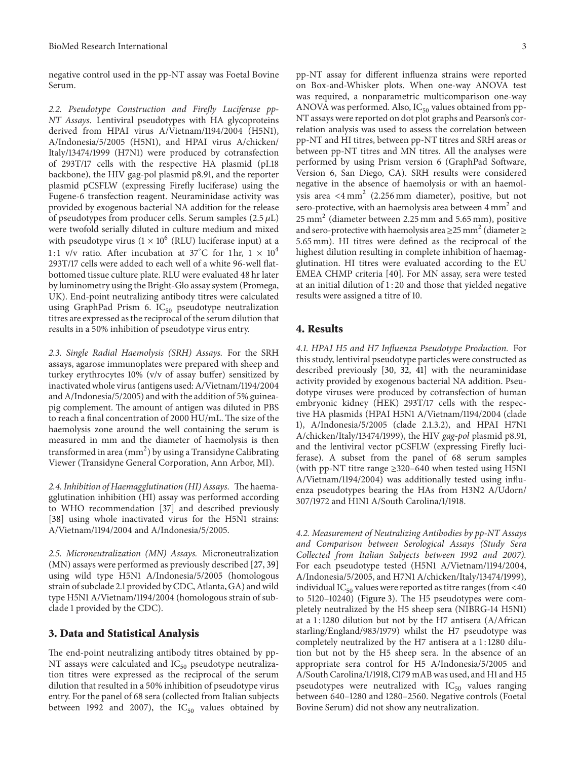negative control used in the pp-NT assay was Foetal Bovine Serum.

2.2. Pseudotype Construction and Firely Luciferase pp-NT Assays. Lentiviral pseudotypes with HA glycoproteins derived from HPAI virus A/Vietnam/1194/2004 (H5N1), A/Indonesia/5/2005 (H5N1), and HPAI virus A/chicken/ Italy/13474/1999 (H7N1) were produced by cotransfection of 293T/17 cells with the respective HA plasmid (pI.18 backbone), the HIV gag-pol plasmid p8.91, and the reporter plasmid pCSFLW (expressing Firely luciferase) using the Fugene-6 transfection reagent. Neuraminidase activity was provided by exogenous bacterial NA addition for the release of pseudotypes from producer cells. Serum samples  $(2.5 \mu L)$ were twofold serially diluted in culture medium and mixed with pseudotype virus  $(1 \times 10^6 \text{ (RLU)}$  luciferase input) at a 1:1 v/v ratio. After incubation at 37°C for 1 hr,  $1 \times 10^4$ 293T/17 cells were added to each well of a white 96-well flatbottomed tissue culture plate. RLU were evaluated 48 hr later by luminometry using the Bright-Glo assay system (Promega, UK). End-point neutralizing antibody titres were calculated using GraphPad Prism 6.  $IC_{50}$  pseudotype neutralization titres are expressed as the reciprocal of the serum dilution that results in a 50% inhibition of pseudotype virus entry.

2.3. Single Radial Haemolysis (SRH) Assays. For the SRH assays, agarose immunoplates were prepared with sheep and turkey erythrocytes 10% (v/v of assay buffer) sensitized by inactivated whole virus (antigens used: A/Vietnam/1194/2004 and A/Indonesia/5/2005) and with the addition of 5% guineapig complement. The amount of antigen was diluted in PBS to reach a final concentration of 2000 HU/mL. The size of the haemolysis zone around the well containing the serum is measured in mm and the diameter of haemolysis is then transformed in area  $\rm (mm^2)$  by using a Transidyne Calibrating Viewer (Transidyne General Corporation, Ann Arbor, MI).

2.4. Inhibition of Haemagglutination (HI) Assays. The haemagglutination inhibition (HI) assay was performed according to WHO recommendation [37] and described previously [38] using whole inactivated virus for the H5N1 strains: A/Vietnam/1194/2004 and A/Indonesia/5/2005.

2.5. Microneutralization (MN) Assays. Microneutralization (MN) assays were performed as previously described [27, 39] using wild type H5N1 A/Indonesia/5/2005 (homologous strain of subclade 2.1 provided by CDC, Atlanta, GA) and wild type H5N1 A/Vietnam/1194/2004 (homologous strain of subclade 1 provided by the CDC).

#### 3. Data and Statistical Analysis

he end-point neutralizing antibody titres obtained by pp-NT assays were calculated and  $IC_{50}$  pseudotype neutralization titres were expressed as the reciprocal of the serum dilution that resulted in a 50% inhibition of pseudotype virus entry. For the panel of 68 sera (collected from Italian subjects between 1992 and 2007), the  $IC_{50}$  values obtained by pp-NT assay for diferent inluenza strains were reported on Box-and-Whisker plots. When one-way ANOVA test was required, a nonparametric multicomparison one-way ANOVA was performed. Also,  $IC_{50}$  values obtained from pp-NT assays were reported on dot plot graphs and Pearson's correlation analysis was used to assess the correlation between pp-NT and HI titres, between pp-NT titres and SRH areas or between pp-NT titres and MN titres. All the analyses were performed by using Prism version 6 (GraphPad Sotware, Version 6, San Diego, CA). SRH results were considered negative in the absence of haemolysis or with an haemolysis area  $\langle 4 \text{ mm}^2$  (2.256 mm diameter), positive, but not sero-protective, with an haemolysis area between  $4 \text{ mm}^2$  and 25 mm<sup>2</sup> (diameter between 2.25 mm and 5.65 mm), positive and sero-protective with haemolysis area  $\geq$ 25 mm<sup>2</sup> (diameter  $\geq$ 5.65 mm). HI titres were deined as the reciprocal of the highest dilution resulting in complete inhibition of haemagglutination. HI titres were evaluated according to the EU EMEA CHMP criteria [40]. For MN assay, sera were tested at an initial dilution of 1 : 20 and those that yielded negative results were assigned a titre of 10.

#### 4. Results

4.1. HPAI H5 and H7 Influenza Pseudotype Production. For this study, lentiviral pseudotype particles were constructed as described previously [30, 32, 41] with the neuraminidase activity provided by exogenous bacterial NA addition. Pseudotype viruses were produced by cotransfection of human embryonic kidney (HEK) 293T/17 cells with the respective HA plasmids (HPAI H5N1 A/Vietnam/1194/2004 (clade 1), A/Indonesia/5/2005 (clade 2.1.3.2), and HPAI H7N1 A/chicken/Italy/13474/1999), the HIV gag-pol plasmid p8.91, and the lentiviral vector pCSFLW (expressing Firely luciferase). A subset from the panel of 68 serum samples (with pp-NT titre range  $\geq$ 320–640 when tested using H5N1 A/Vietnam/1194/2004) was additionally tested using inluenza pseudotypes bearing the HAs from H3N2 A/Udorn/ 307/1972 and H1N1 A/South Carolina/1/1918.

4.2. Measurement of Neutralizing Antibodies by pp-NT Assays and Comparison between Serological Assays (Study Sera Collected from Italian Subjects between 1992 and 2007). For each pseudotype tested (H5N1 A/Vietnam/1194/2004, A/Indonesia/5/2005, and H7N1 A/chicken/Italy/13474/1999), individual I $C_{50}$  values were reported as titre ranges (from  $<40$ to  $5120-10240$ ) (Figure 3). The H5 pseudotypes were completely neutralized by the H5 sheep sera (NIBRG-14 H5N1) at a 1 : 1280 dilution but not by the H7 antisera (A/African starling/England/983/1979) whilst the H7 pseudotype was completely neutralized by the H7 antisera at a 1 : 1280 dilution but not by the H5 sheep sera. In the absence of an appropriate sera control for H5 A/Indonesia/5/2005 and A/South Carolina/1/1918, C179 mAB was used, and H1 and H5 pseudotypes were neutralized with  $IC_{50}$  values ranging between 640–1280 and 1280–2560. Negative controls (Foetal Bovine Serum) did not show any neutralization.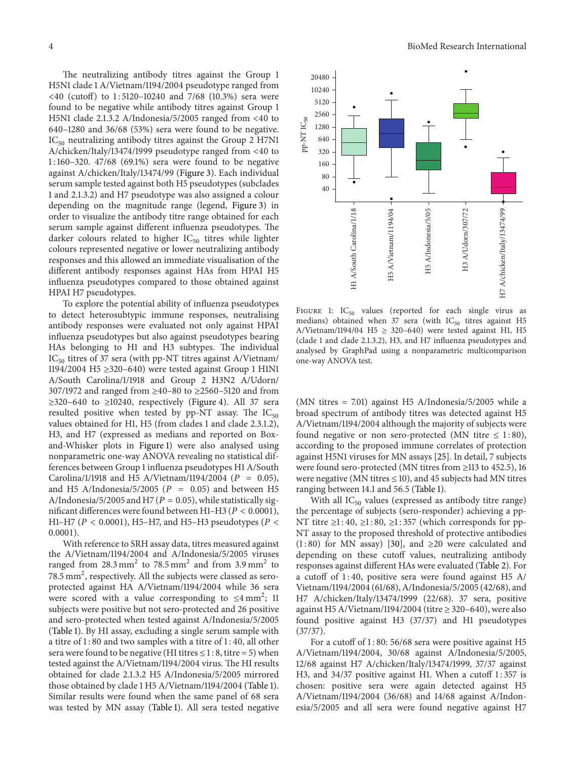he neutralizing antibody titres against the Group 1 H5N1 clade 1 A/Vietnam/1194/2004 pseudotype ranged from  $\langle 40$  (cutoff) to 1:5120-10240 and 7/68 (10.3%) sera were found to be negative while antibody titres against Group 1 H5N1 clade 2.1.3.2 A/Indonesia/5/2005 ranged from <40 to 640–1280 and 36/68 (53%) sera were found to be negative.  $IC_{50}$  neutralizing antibody titres against the Group 2 H7N1 A/chicken/Italy/13474/1999 pseudotype ranged from <40 to 1 : 160–320. 47/68 (69.1%) sera were found to be negative against A/chicken/Italy/13474/99 (Figure 3). Each individual serum sample tested against both H5 pseudotypes (subclades 1 and 2.1.3.2) and H7 pseudotype was also assigned a colour depending on the magnitude range (legend, Figure 3) in order to visualize the antibody titre range obtained for each serum sample against different influenza pseudotypes. The darker colours related to higher  $IC_{50}$  titres while lighter colours represented negative or lower neutralizing antibody responses and this allowed an immediate visualisation of the diferent antibody responses against HAs from HPAI H5 inluenza pseudotypes compared to those obtained against HPAI H7 pseudotypes.

To explore the potential ability of inluenza pseudotypes to detect heterosubtypic immune responses, neutralising antibody responses were evaluated not only against HPAI influenza pseudotypes but also against pseudotypes bearing HAs belonging to H1 and H3 subtypes. The individual IC<sub>50</sub> titres of 37 sera (with pp-NT titres against A/Vietnam/ 1194/2004 H5 ≥320–640) were tested against Group 1 H1N1 A/South Carolina/1/1918 and Group 2 H3N2 A/Udorn/ 307/1972 and ranged from ≥40–80 to ≥2560–5120 and from  $\geq$ 320–640 to  $\geq$ 10240, respectively (Figure 4). All 37 sera resulted positive when tested by  $pp-NT$  assay. The  $IC_{50}$ values obtained for H1, H5 (from clades 1 and clade 2.3.1.2), H3, and H7 (expressed as medians and reported on Boxand-Whisker plots in Figure 1) were also analysed using nonparametric one-way ANOVA revealing no statistical differences between Group 1 inluenza pseudotypes H1 A/South Carolina/1/1918 and H5 A/Vietnam/1194/2004 ( $P = 0.05$ ), and H5 A/Indonesia/5/2005 ( $P = 0.05$ ) and between H5 A/Indonesia/5/2005 and H7 ( $P = 0.05$ ), while statistically significant differences were found between H1-H3 ( $P < 0.0001$ ), H1–H7 ( $P < 0.0001$ ), H5–H7, and H5–H3 pseudotypes ( $P <$ 0.0001).

With reference to SRH assay data, titres measured against the A/Vietnam/1194/2004 and A/Indonesia/5/2005 viruses ranged from  $28.3 \text{ mm}^2$  to  $78.5 \text{ mm}^2$  and from  $3.9 \text{ mm}^2$  to  $78.5 \text{ mm}^2$ , respectively. All the subjects were classed as seroprotected against HA A/Vietnam/1194/2004 while 36 sera were scored with a value corresponding to  $\leq 4$  mm<sup>2</sup>; 11 subjects were positive but not sero-protected and 26 positive and sero-protected when tested against A/Indonesia/5/2005 (Table 1). By HI assay, excluding a single serum sample with a titre of 1 : 80 and two samples with a titre of 1 : 40, all other sera were found to be negative (HI titres  $\leq 1:8$ , titre = 5) when tested against the A/Vietnam/1194/2004 virus. The HI results obtained for clade 2.1.3.2 H5 A/Indonesia/5/2005 mirrored those obtained by clade 1 H5 A/Vietnam/1194/2004 (Table 1). Similar results were found when the same panel of 68 sera was tested by MN assay (Table 1). All sera tested negative



FIGURE 1:  $IC_{50}$  values (reported for each single virus as medians) obtained when 37 sera (with  $IC_{50}$  titres against H5 A/Vietnam/1194/04 H5  $\geq$  320-640) were tested against H1, H5 (clade 1 and clade 2.1.3.2), H3, and H7 inluenza pseudotypes and analysed by GraphPad using a nonparametric multicomparison one-way ANOVA test.

(MN titres = 7.01) against H5 A/Indonesia/5/2005 while a broad spectrum of antibody titres was detected against H5 A/Vietnam/1194/2004 although the majority of subjects were found negative or non sero-protected (MN titre  $\leq$  1:80), according to the proposed immune correlates of protection against H5N1 viruses for MN assays [25]. In detail, 7 subjects were found sero-protected (MN titres from ≥113 to 452.5), 16 were negative (MN titres  $\leq$  10), and 45 subjects had MN titres ranging between 14.1 and 56.5 (Table 1).

With all  $IC_{50}$  values (expressed as antibody titre range) the percentage of subjects (sero-responder) achieving a pp-NT titre  $\geq$ 1:40,  $\geq$ 1:80,  $\geq$ 1:357 (which corresponds for pp-NT assay to the proposed threshold of protective antibodies  $(1:80)$  for MN assay) [30], and  $\geq 20$  were calculated and depending on these cutoff values, neutralizing antibody responses against diferent HAs were evaluated (Table 2). For a cutoff of  $1:40$ , positive sera were found against H5 A/ Vietnam/1194/2004 (61/68), A/Indonesia/5/2005 (42/68), and H7 A/chicken/Italy/13474/1999 (22/68). 37 sera, positive against H5 A/Vietnam/1194/2004 (titre  $\geq$  320–640), were also found positive against H3 (37/37) and H1 pseudotypes (37/37).

For a cutoff of 1:80: 56/68 sera were positive against H5 A/Vietnam/1194/2004, 30/68 against A/Indonesia/5/2005, 12/68 against H7 A/chicken/Italy/13474/1999, 37/37 against H3, and 34/37 positive against H1. When a cutoff 1:357 is chosen: positive sera were again detected against H5 A/Vietnam/1194/2004 (36/68) and 14/68 against A/Indonesia/5/2005 and all sera were found negative against H7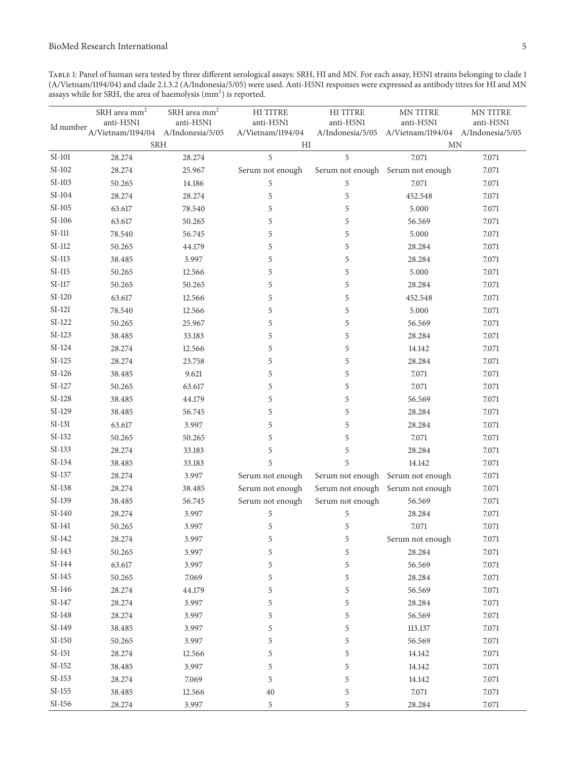Table 1: Panel of human sera tested by three diferent serological assays: SRH, HI and MN. For each assay, H5N1 strains belonging to clade 1 (A/Vietnam/1194/04) and clade 2.1.3.2 (A/Indonesia/5/05) were used. Anti-H5N1 responses were expressed as antibody titres for HI and MN assays while for SRH, the area of haemolysis  $(mm<sup>2</sup>)$  is reported.

| Id number                                    | ${\rm SRH}$ area ${\rm mm}^2$<br>anti-H5N1<br>A/Vietnam/1194/04 A/Indonesia/5/05 | ${\rm SRH}$ area ${\rm mm}^2$<br>anti-H5N1 | HI TITRE<br>anti-H5N1<br>A/Vietnam/1194/04 | HI TITRE<br>anti-H5N1<br>A/Indonesia/5/05 | MN TITRE<br>anti-H5N1<br>A/Vietnam/1194/04 A/Indonesia/5/05 | MN TITRE<br>anti-H5N1 |
|----------------------------------------------|----------------------------------------------------------------------------------|--------------------------------------------|--------------------------------------------|-------------------------------------------|-------------------------------------------------------------|-----------------------|
|                                              | <b>SRH</b>                                                                       |                                            | HI                                         |                                           | $\ensuremath{\text{MN}}$                                    |                       |
| $\ensuremath{\mathrm{SI}}\xspace\text{-}101$ | 28.274                                                                           | 28.274                                     | 5                                          | 5                                         | 7.071                                                       | 7.071                 |
| $\ensuremath{\mathrm{SI}}\xspace\text{-}102$ | 28.274                                                                           | 25.967                                     | Serum not enough                           |                                           | Serum not enough Serum not enough                           | 7.071                 |
| $SI-103$                                     | 50.265                                                                           | 14.186                                     | $\mathfrak s$                              | $\mathbf 5$                               | 7.071                                                       | 7.071                 |
| $SI-104$                                     | 28.274                                                                           | 28.274                                     | 5                                          | 5                                         | 452.548                                                     | 7.071                 |
| $\text{SI-}105$                              | 63.617                                                                           | 78.540                                     | 5                                          | 5                                         | 5.000                                                       | 7.071                 |
| $SI-106$                                     | 63.617                                                                           | 50.265                                     | 5                                          | 5                                         | 56.569                                                      | 7.071                 |
| $\rm SI$ -111 $\,$                           | 78.540                                                                           | 56.745                                     | 5                                          | 5                                         | 5.000                                                       | 7.071                 |
| $SI-112$                                     | 50.265                                                                           | 44.179                                     | 5                                          | 5                                         | 28.284                                                      | 7.071                 |
| SI-113                                       | 38.485                                                                           | 3.997                                      | 5                                          | 5                                         | 28.284                                                      | 7.071                 |
| $SI-115$                                     | 50.265                                                                           | 12.566                                     | 5                                          | 5                                         | 5.000                                                       | 7.071                 |
| $\text{SI-117}$                              | 50.265                                                                           | 50.265                                     | 5                                          | 5                                         | 28.284                                                      | 7.071                 |
| $SI-120$                                     | 63.617                                                                           | 12.566                                     | 5                                          | 5                                         | 452.548                                                     | 7.071                 |
| $SI-121$                                     | 78.540                                                                           | 12.566                                     | 5                                          | 5                                         | 5.000                                                       | 7.071                 |
| $SI-122$                                     | 50.265                                                                           | 25.967                                     | 5                                          | 5                                         | 56.569                                                      | 7.071                 |
| $SI-123$                                     | 38.485                                                                           | 33.183                                     | 5                                          | 5                                         | 28.284                                                      | 7.071                 |
| $SI-124$                                     | 28.274                                                                           | 12.566                                     | 5                                          | 5                                         | 14.142                                                      | 7.071                 |
| $SI-125$                                     | 28.274                                                                           | 23.758                                     | 5                                          | 5                                         | 28.284                                                      | 7.071                 |
| $SI-126$                                     | 38.485                                                                           | 9.621                                      | 5                                          | 5                                         | 7.071                                                       | 7.071                 |
| $SI-127$                                     | 50.265                                                                           | 63.617                                     | 5                                          | 5                                         | 7.071                                                       | 7.071                 |
| $SI-128$                                     | 38.485                                                                           | 44.179                                     | 5                                          | 5                                         | 56.569                                                      | 7.071                 |
| $SI-129$                                     | 38.485                                                                           | 56.745                                     | 5                                          | 5                                         | 28.284                                                      | 7.071                 |
| $SI-131$                                     | 63.617                                                                           | 3.997                                      | 5                                          | 5                                         | 28.284                                                      | 7.071                 |
| $SI-132$                                     | 50.265                                                                           | 50.265                                     | 5                                          | 5                                         | 7.071                                                       | 7.071                 |
| $SI-133$                                     | 28.274                                                                           | 33.183                                     | 5                                          | 5                                         | 28.284                                                      | 7.071                 |
| $SI-134$                                     | 38.485                                                                           | 33.183                                     | 5                                          | 5                                         | 14.142                                                      | 7.071                 |
| $SI-137$                                     | 28.274                                                                           | 3.997                                      | Serum not enough                           |                                           | Serum not enough Serum not enough                           | 7.071                 |
| $\ensuremath{\mathrm{SI}}\xspace\text{-}138$ | 28.274                                                                           | 38.485                                     | Serum not enough                           |                                           | Serum not enough Serum not enough                           | 7.071                 |
| SI-139                                       | 38.485                                                                           | 56.745                                     | Serum not enough                           | Serum not enough                          | 56.569                                                      | 7.071                 |
| $SI-140$                                     | 28.274                                                                           | 3.997                                      | 5                                          | 5                                         | 28.284                                                      | 7.071                 |
| $SI-141$                                     | 50.265                                                                           | 3.997                                      | $\mathfrak s$                              | $\mathfrak s$                             | 7.071                                                       | 7.071                 |
| SI-142                                       | 28.274                                                                           | 3.997                                      | 5                                          | 5                                         | Serum not enough                                            | 7.071                 |
| $SI-143$                                     | 50.265                                                                           | 3.997                                      | 5                                          | $\mathfrak s$                             | 28.284                                                      | 7.071                 |
| SI-144                                       | 63.617                                                                           | 3.997                                      | 5                                          | 5                                         | 56.569                                                      | 7.071                 |
| $SI-145$                                     | 50.265                                                                           | 7.069                                      | 5                                          | 5                                         | 28.284                                                      | 7.071                 |
| SI-146                                       | 28.274                                                                           | 44.179                                     | 5                                          | 5                                         | 56.569                                                      | 7.071                 |
| $\text{SI-147}$                              | 28.274                                                                           | 3.997                                      | 5                                          | 5                                         | 28.284                                                      | 7.071                 |
| $SI-148$                                     | 28.274                                                                           | 3.997                                      | 5                                          | 5                                         | 56.569                                                      | 7.071                 |
| SI-149                                       | 38.485                                                                           | 3.997                                      | 5                                          | 5                                         | 113.137                                                     | 7.071                 |
| $SI-150$                                     | 50.265                                                                           | 3.997                                      | 5                                          | 5                                         | 56.569                                                      | 7.071                 |
| $SI-151$                                     | 28.274                                                                           | 12.566                                     | 5                                          | 5                                         | 14.142                                                      | 7.071                 |
| $S$ I-152                                    | 38.485                                                                           | 3.997                                      | 5                                          | 5                                         | 14.142                                                      | 7.071                 |
| $SI-153$                                     | 28.274                                                                           | 7.069                                      | 5                                          | 5                                         | 14.142                                                      | 7.071                 |
| $SL-155$                                     | 38.485                                                                           | 12.566                                     | 40                                         | 5                                         | 7.071                                                       | 7.071                 |
| $SI-156$                                     | 28.274                                                                           | 3.997                                      | 5                                          | 5                                         | 28.284                                                      | 7.071                 |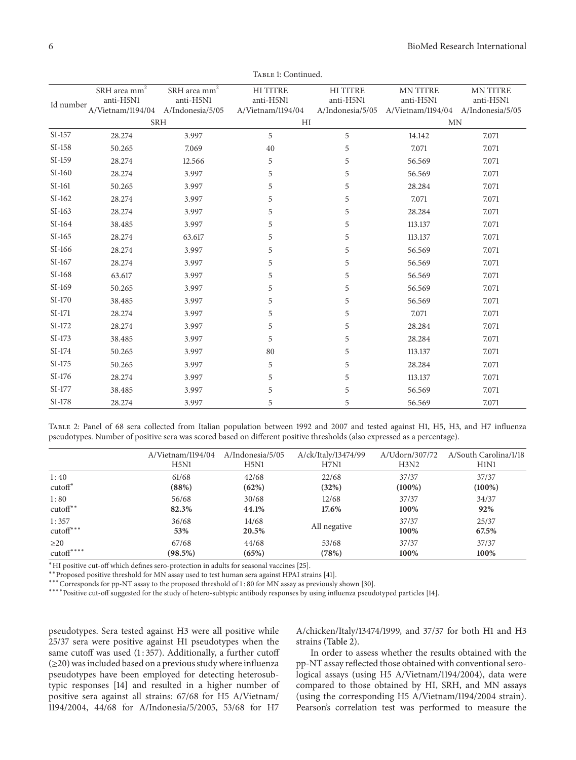|           | SRH area mm <sup>2</sup><br>anti-H5N1 | SRH area mm <sup>2</sup><br>anti-H5N1 | <b>HITITRE</b><br>anti-H5N1 | <b>HITITRE</b><br>anti-H5N1 | <b>MN TITRE</b><br>anti-H5N1       | <b>MN TITRE</b><br>anti-H5N1 |
|-----------|---------------------------------------|---------------------------------------|-----------------------------|-----------------------------|------------------------------------|------------------------------|
| Id number | A/Vietnam/1194/04                     | A/Indonesia/5/05                      | A/Vietnam/1194/04           | A/Indonesia/5/05            | A/Vietnam/1194/04 A/Indonesia/5/05 |                              |
|           | <b>SRH</b>                            |                                       | HI                          |                             | <b>MN</b>                          |                              |
| SI-157    | 28.274                                | 3.997                                 | 5                           | 5                           | 14.142                             | 7.071                        |
| SI-158    | 50.265                                | 7.069                                 | 40                          | 5                           | 7.071                              | 7.071                        |
| SI-159    | 28.274                                | 12.566                                | 5                           | 5                           | 56.569                             | 7.071                        |
| SI-160    | 28.274                                | 3.997                                 | 5                           | 5                           | 56.569                             | 7.071                        |
| SI-161    | 50.265                                | 3.997                                 | 5                           | 5                           | 28.284                             | 7.071                        |
| $SI-162$  | 28.274                                | 3.997                                 | 5                           | 5                           | 7.071                              | 7.071                        |
| $SI-163$  | 28.274                                | 3.997                                 | 5                           | 5                           | 28.284                             | 7.071                        |
| SI-164    | 38.485                                | 3.997                                 | 5                           | 5                           | 113.137                            | 7.071                        |
| $SI-165$  | 28.274                                | 63.617                                | 5                           | 5                           | 113.137                            | 7.071                        |
| SI-166    | 28.274                                | 3.997                                 | 5                           | 5                           | 56.569                             | 7.071                        |
| $SI-167$  | 28.274                                | 3.997                                 | 5                           | 5                           | 56.569                             | 7.071                        |
| SI-168    | 63.617                                | 3.997                                 | 5                           | 5                           | 56.569                             | 7.071                        |
| SI-169    | 50.265                                | 3.997                                 | 5                           | 5                           | 56.569                             | 7.071                        |
| SI-170    | 38.485                                | 3.997                                 | 5                           | 5                           | 56.569                             | 7.071                        |
| SI-171    | 28.274                                | 3.997                                 | 5                           | 5                           | 7.071                              | 7.071                        |
| SI-172    | 28.274                                | 3.997                                 | 5                           | 5                           | 28.284                             | 7.071                        |
| SI-173    | 38.485                                | 3.997                                 | 5                           | 5                           | 28.284                             | 7.071                        |
| SI-174    | 50.265                                | 3.997                                 | 80                          | 5                           | 113.137                            | 7.071                        |
| SI-175    | 50.265                                | 3.997                                 | 5                           | 5                           | 28.284                             | 7.071                        |
| SI-176    | 28.274                                | 3.997                                 | 5                           | 5                           | 113.137                            | 7.071                        |
| SI-177    | 38.485                                | 3.997                                 | 5                           | 5                           | 56.569                             | 7.071                        |
| SI-178    | 28.274                                | 3.997                                 | 5                           | 5                           | 56.569                             | 7.071                        |

TABLE 1: Continued.

Table 2: Panel of 68 sera collected from Italian population between 1992 and 2007 and tested against H1, H5, H3, and H7 inluenza pseudotypes. Number of positive sera was scored based on diferent positive thresholds (also expressed as a percentage).

|             | A/Vietnam/1194/04 | A/Indonesia/5/05 | A/ck/Italy/13474/99 | A/Udorn/307/72 | A/South Carolina/1/18 |
|-------------|-------------------|------------------|---------------------|----------------|-----------------------|
|             | H5N1              | H5N1             | H7N1                | H3N2           | H1N1                  |
| 1:40        | 61/68             | 42/68            | 22/68               | 37/37          | 37/37                 |
| $cutoff^*$  | (88%)             | (62%)            | (32%)               | $(100\%)$      | $(100\%)$             |
| 1:80        | 56/68             | 30/68            | 12/68               | 37/37          | 34/37                 |
| $cutoff**$  | 82.3%             | 44.1%            | 17.6%               | 100%           | 92%                   |
| 1:357       | 36/68             | 14/68            | All negative        | 37/37          | 25/37                 |
| $cutoff***$ | 53%               | 20.5%            |                     | 100%           | 67.5%                 |
| $\geq$ 20   | 67/68             | 44/68            | 53/68               | 37/37          | 37/37                 |
| $cutoff***$ | $(98.5\%)$        | (65%)            | (78%)               | 100%           | 100%                  |

<sup>∗</sup>HI positive cut-of which deines sero-protection in adults for seasonal vaccines [25].

∗∗Proposed positive threshold for MN assay used to test human sera against HPAI strains [41].

∗∗∗Corresponds for pp-NT assay to the proposed threshold of 1 : 80 for MN assay as previously shown [30].

∗∗∗∗Positive cut-of suggested for the study of hetero-subtypic antibody responses by using inluenza pseudotyped particles [14].

pseudotypes. Sera tested against H3 were all positive while 25/37 sera were positive against H1 pseudotypes when the same cutoff was used  $(1:357)$ . Additionally, a further cutoff  $(\geq 20)$  was included based on a previous study where influenza pseudotypes have been employed for detecting heterosubtypic responses [14] and resulted in a higher number of positive sera against all strains: 67/68 for H5 A/Vietnam/ 1194/2004, 44/68 for A/Indonesia/5/2005, 53/68 for H7

A/chicken/Italy/13474/1999, and 37/37 for both H1 and H3 strains (Table 2).

In order to assess whether the results obtained with the pp-NT assay relected those obtained with conventional serological assays (using H5 A/Vietnam/1194/2004), data were compared to those obtained by HI, SRH, and MN assays (using the corresponding H5 A/Vietnam/1194/2004 strain). Pearson's correlation test was performed to measure the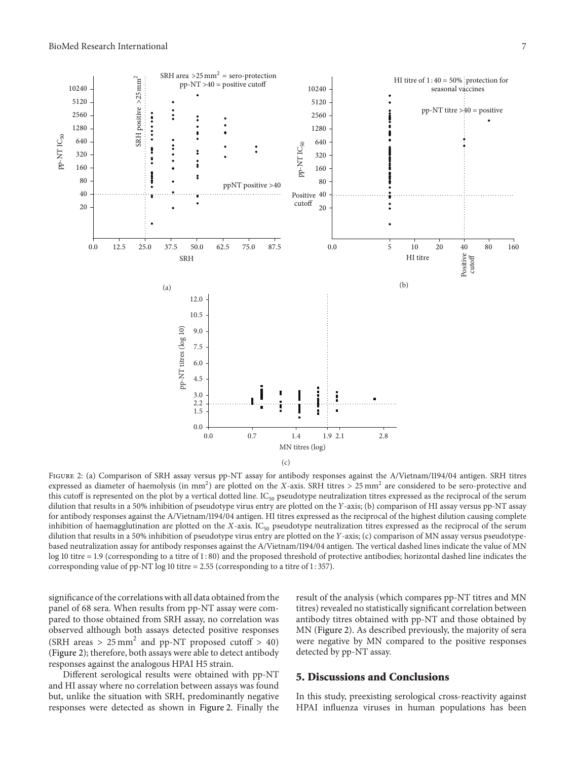

Figure 2: (a) Comparison of SRH assay versus pp-NT assay for antibody responses against the A/Vietnam/1194/04 antigen. SRH titres expressed as diameter of haemolysis (in mm<sup>2</sup>) are plotted on the X-axis. SRH titres > 25 mm<sup>2</sup> are considered to be sero-protective and this cutoff is represented on the plot by a vertical dotted line.  $IC_{50}$  pseudotype neutralization titres expressed as the reciprocal of the serum dilution that results in a 50% inhibition of pseudotype virus entry are plotted on the Y-axis; (b) comparison of HI assay versus pp-NT assay for antibody responses against the A/Vietnam/1194/04 antigen. HI titres expressed as the reciprocal of the highest dilution causing complete inhibition of haemagglutination are plotted on the  $X$ -axis. IC<sub>50</sub> pseudotype neutralization titres expressed as the reciprocal of the serum dilution that results in a 50% inhibition of pseudotype virus entry are plotted on the Y-axis; (c) comparison of MN assay versus pseudotypebased neutralization assay for antibody responses against the A/Vietnam/1194/04 antigen. he vertical dashed lines indicate the value of MN log 10 titre = 1.9 (corresponding to a titre of 1 : 80) and the proposed threshold of protective antibodies; horizontal dashed line indicates the corresponding value of pp-NT log 10 titre  $= 2.55$  (corresponding to a titre of 1:357).

significance of the correlations with all data obtained from the panel of 68 sera. When results from pp-NT assay were compared to those obtained from SRH assay, no correlation was observed although both assays detected positive responses (SRH areas >  $25 \text{ mm}^2$  and pp-NT proposed cutoff > 40) (Figure 2); therefore, both assays were able to detect antibody responses against the analogous HPAI H5 strain.

Diferent serological results were obtained with pp-NT and HI assay where no correlation between assays was found but, unlike the situation with SRH, predominantly negative responses were detected as shown in Figure 2. Finally the result of the analysis (which compares pp-NT titres and MN titres) revealed no statistically significant correlation between antibody titres obtained with pp-NT and those obtained by MN (Figure 2). As described previously, the majority of sera were negative by MN compared to the positive responses detected by pp-NT assay.

#### 5. Discussions and Conclusions

In this study, preexisting serological cross-reactivity against HPAI inluenza viruses in human populations has been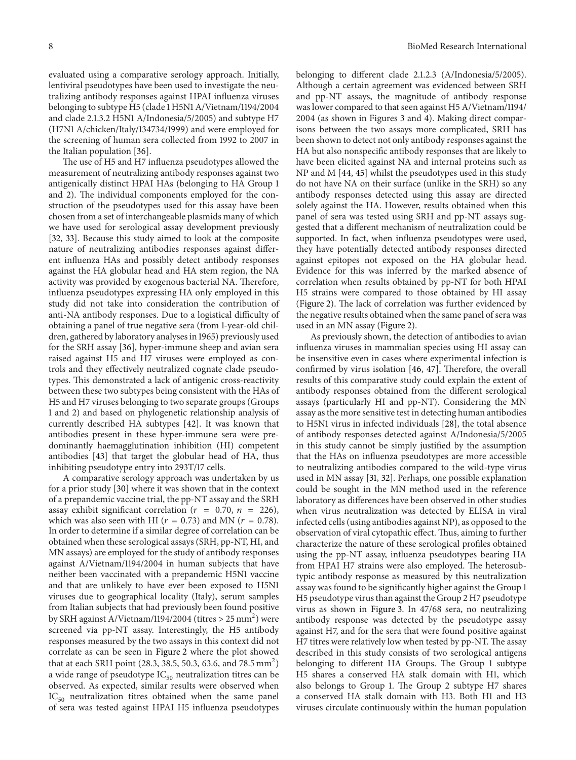evaluated using a comparative serology approach. Initially, lentiviral pseudotypes have been used to investigate the neutralizing antibody responses against HPAI inluenza viruses belonging to subtype H5 (clade 1 H5N1 A/Vietnam/1194/2004 and clade 2.1.3.2 H5N1 A/Indonesia/5/2005) and subtype H7 (H7N1 A/chicken/Italy/134734/1999) and were employed for the screening of human sera collected from 1992 to 2007 in the Italian population [36].

he use of H5 and H7 inluenza pseudotypes allowed the measurement of neutralizing antibody responses against two antigenically distinct HPAI HAs (belonging to HA Group 1 and 2). The individual components employed for the construction of the pseudotypes used for this assay have been chosen from a set of interchangeable plasmids many of which we have used for serological assay development previously [32, 33]. Because this study aimed to look at the composite nature of neutralizing antibodies responses against diferent inluenza HAs and possibly detect antibody responses against the HA globular head and HA stem region, the NA activity was provided by exogenous bacterial NA. Therefore, influenza pseudotypes expressing HA only employed in this study did not take into consideration the contribution of anti-NA antibody responses. Due to a logistical difficulty of obtaining a panel of true negative sera (from 1-year-old children, gathered by laboratory analyses in 1965) previously used for the SRH assay [36], hyper-immune sheep and avian sera raised against H5 and H7 viruses were employed as controls and they efectively neutralized cognate clade pseudotypes. This demonstrated a lack of antigenic cross-reactivity between these two subtypes being consistent with the HAs of H5 and H7 viruses belonging to two separate groups (Groups 1 and 2) and based on phylogenetic relationship analysis of currently described HA subtypes [42]. It was known that antibodies present in these hyper-immune sera were predominantly haemagglutination inhibition (HI) competent antibodies [43] that target the globular head of HA, thus inhibiting pseudotype entry into 293T/17 cells.

A comparative serology approach was undertaken by us for a prior study [30] where it was shown that in the context of a prepandemic vaccine trial, the pp-NT assay and the SRH assay exhibit significant correlation ( $r = 0.70$ ,  $n = 226$ ), which was also seen with HI ( $r = 0.73$ ) and MN ( $r = 0.78$ ). In order to determine if a similar degree of correlation can be obtained when these serological assays (SRH, pp-NT, HI, and MN assays) are employed for the study of antibody responses against A/Vietnam/1194/2004 in human subjects that have neither been vaccinated with a prepandemic H5N1 vaccine and that are unlikely to have ever been exposed to H5N1 viruses due to geographical locality (Italy), serum samples from Italian subjects that had previously been found positive by SRH against A/Vietnam/1194/2004 (titres > 25  $\mathrm{mm}^2$ ) were screened via pp-NT assay. Interestingly, the H5 antibody responses measured by the two assays in this context did not correlate as can be seen in Figure 2 where the plot showed that at each SRH point (28.3, 38.5, 50.3, 63.6, and 78.5 mm<sup>2</sup>) a wide range of pseudotype  $IC_{50}$  neutralization titres can be observed. As expected, similar results were observed when  $IC_{50}$  neutralization titres obtained when the same panel of sera was tested against HPAI H5 inluenza pseudotypes

belonging to diferent clade 2.1.2.3 (A/Indonesia/5/2005). Although a certain agreement was evidenced between SRH and pp-NT assays, the magnitude of antibody response was lower compared to that seen against H5 A/Vietnam/1194/ 2004 (as shown in Figures 3 and 4). Making direct comparisons between the two assays more complicated, SRH has been shown to detect not only antibody responses against the HA but also nonspecific antibody responses that are likely to have been elicited against NA and internal proteins such as NP and M [44, 45] whilst the pseudotypes used in this study do not have NA on their surface (unlike in the SRH) so any antibody responses detected using this assay are directed solely against the HA. However, results obtained when this panel of sera was tested using SRH and pp-NT assays suggested that a diferent mechanism of neutralization could be supported. In fact, when influenza pseudotypes were used, they have potentially detected antibody responses directed against epitopes not exposed on the HA globular head. Evidence for this was inferred by the marked absence of correlation when results obtained by pp-NT for both HPAI H5 strains were compared to those obtained by HI assay (Figure 2). The lack of correlation was further evidenced by the negative results obtained when the same panel of sera was used in an MN assay (Figure 2).

As previously shown, the detection of antibodies to avian influenza viruses in mammalian species using HI assay can be insensitive even in cases where experimental infection is confirmed by virus isolation  $[46, 47]$ . Therefore, the overall results of this comparative study could explain the extent of antibody responses obtained from the diferent serological assays (particularly HI and pp-NT). Considering the MN assay as the more sensitive test in detecting human antibodies to H5N1 virus in infected individuals [28], the total absence of antibody responses detected against A/Indonesia/5/2005 in this study cannot be simply justified by the assumption that the HAs on inluenza pseudotypes are more accessible to neutralizing antibodies compared to the wild-type virus used in MN assay [31, 32]. Perhaps, one possible explanation could be sought in the MN method used in the reference laboratory as diferences have been observed in other studies when virus neutralization was detected by ELISA in viral infected cells (using antibodies against NP), as opposed to the observation of viral cytopathic effect. Thus, aiming to further characterize the nature of these serological profiles obtained using the pp-NT assay, inluenza pseudotypes bearing HA from HPAI H7 strains were also employed. The heterosubtypic antibody response as measured by this neutralization assay was found to be significantly higher against the Group 1 H5 pseudotype virus than against the Group 2 H7 pseudotype virus as shown in Figure 3. In 47/68 sera, no neutralizing antibody response was detected by the pseudotype assay against H7, and for the sera that were found positive against H7 titres were relatively low when tested by pp-NT. The assay described in this study consists of two serological antigens belonging to different HA Groups. The Group 1 subtype H5 shares a conserved HA stalk domain with H1, which also belongs to Group 1. The Group 2 subtype H7 shares a conserved HA stalk domain with H3. Both H1 and H3 viruses circulate continuously within the human population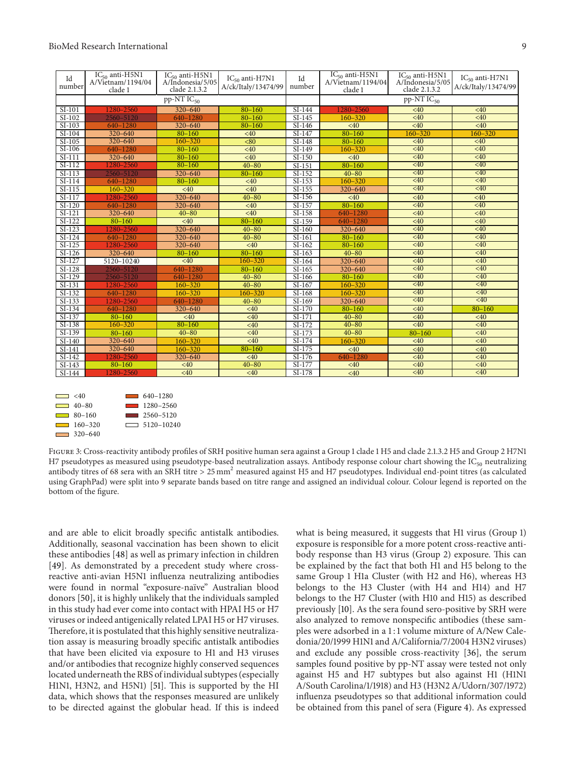| Id<br>number | $IC_{50}$ anti-H5N1<br>A/Vietnam/1194/04<br>clade 1 | $IC_{50}$ anti-H5N1<br>A/Indonesia/5/05<br>clade 2.1.3.2 | $IC_{50}$ anti-H7N1<br>A/ck/Italy/13474/99 | Id<br>number         | $IC_{50}$ anti-H5N1<br>A/Vietnam/1194/04<br>clade 1 | $IC_{50}$ anti-H5N1<br>A/Indonesia/5/05<br>clade 2.1.3.2 | $IC_{50}$ anti-H7N1<br>A/ck/Italy/13474/99 |
|--------------|-----------------------------------------------------|----------------------------------------------------------|--------------------------------------------|----------------------|-----------------------------------------------------|----------------------------------------------------------|--------------------------------------------|
|              | $pp-NTIC_{50}$                                      |                                                          |                                            |                      | $pp-NTIC_{50}$                                      |                                                          |                                            |
| SI-101       | 1280-2560                                           | 320-640                                                  | $80 - 160$                                 | $SI-144$             | 1280-2560                                           | <40                                                      | <40                                        |
| $SI-102$     | 2560-5120                                           | 640-1280                                                 | $80 - 160$                                 | $SI-145$             | $160 - 320$                                         | <40                                                      | <40                                        |
| $SI-103$     | 640-1280                                            | 320-640                                                  | $80 - 160$                                 | $\overline{SI}$ -146 | <40                                                 | <40                                                      | <40                                        |
| SI-104       | 320-640                                             | $80 - 160$                                               | <40                                        | SI-147               | $80 - 160$                                          | $160 - 320$                                              | $160 - 320$                                |
| SI-105       | $320 - 640$                                         | $160 - 320$                                              | <80                                        | $SI-148$             | $80 - 160$                                          | <40                                                      | <40                                        |
| SI-106       | 640-1280                                            | $80 - 160$                                               | <40                                        | $SI-149$             | $160 - 320$                                         | <40                                                      | <40                                        |
| $SI-111$     | 320-640                                             | $80 - 160$                                               | <40                                        | SI-150               | <40                                                 | <40                                                      | <40                                        |
| $SI-112$     | 1280-2560                                           | $80 - 160$                                               | $40 - 80$                                  | $SI-151$             | $80 - 160$                                          | <40                                                      | <40                                        |
| $SI-113$     | 2560-5120                                           | 320-640                                                  | $80 - 160$                                 | $SI-152$             | $40 - 80$                                           | <40                                                      | <40                                        |
| $SI-114$     | 640-1280                                            | $80 - 160$                                               | <40                                        | $SI-153$             | $160 - 320$                                         | $\leq 40$                                                | <40                                        |
| $SI-115$     | $160 - 320$                                         | <40                                                      | <40                                        | $\overline{SI}$ -155 | 320-640                                             | <40                                                      | <40                                        |
| $SI-117$     | 1280-2560                                           | 320-640                                                  | $40 - 80$                                  | $SI-156$             | <40                                                 | <40                                                      | <40                                        |
| $SI-120$     | 640-1280                                            | 320-640                                                  | <40                                        | $SI-157$             | $80 - 160$                                          | <40                                                      | <40                                        |
| $SI-121$     | 320-640                                             | $40 - 80$                                                | <40                                        | $SI-158$             | 640-1280                                            | <40                                                      | <40                                        |
| $SI-122$     | $80 - 160$                                          | <40                                                      | $80 - 160$                                 | SI-159               | 640-1280                                            | <40                                                      | <40                                        |
| $SI-123$     | 1280-2560                                           | 320-640                                                  | $40 - 80$                                  | SI-160               | 320-640                                             | <40                                                      | <40                                        |
| $SI-124$     | 640-1280                                            | 320-640                                                  | $40 - 80$                                  | $\overline{SI}$ -161 | $80 - 160$                                          | <40                                                      | <40                                        |
| $SI-125$     | 1280-2560                                           | 320-640                                                  | <40                                        | $SI-162$             | $80 - 160$                                          | <40                                                      | <40                                        |
| $SI-126$     | 320-640                                             | $80 - 160$                                               | $80 - 160$                                 | $SI-163$             | $40 - 80$                                           | <40                                                      | <40                                        |
| $SI-127$     | 5120-10240                                          | <40                                                      | $160 - 320$                                | $\overline{SI}$ -164 | 320-640                                             | <40                                                      | <40                                        |
| $SI-128$     | 2560-5120                                           | 640-1280                                                 | $80 - 160$                                 | $SI-165$             | 320-640                                             | <40                                                      | <40                                        |
| SI-129       | 2560-5120                                           | 640-1280                                                 | $40 - 80$                                  | SI-166               | $80 - 160$                                          | $\overline{40}$                                          | <40                                        |
| $SI-131$     | 1280-2560                                           | $160 - 320$                                              | $40 - 80$                                  | $\overline{SI}$ -167 | $160 - 320$                                         | <40                                                      | <40                                        |
| $SI-132$     | 640-1280                                            | $160 - 320$                                              | 160-320                                    | $SI-168$             | $160 - 320$                                         | <40                                                      | <40                                        |
| $SI-133$     | 1280-2560                                           | 640-1280                                                 | $40 - 80$                                  | $SI-169$             | 320-640                                             | <40                                                      | <40                                        |
| $SI-134$     | 640-1280                                            | 320-640                                                  | <40                                        | $\overline{SI-170}$  | $80 - 160$                                          | <40                                                      | $80 - 160$                                 |
| SI-137       | $80 - 160$                                          | <40                                                      | <40                                        | SI-171               | $40 - 80$                                           | <40                                                      | <40                                        |
| $SI-138$     | $160 - 320$                                         | $80 - 160$                                               | <40                                        | SI-172               | $40 - 80$                                           | <40                                                      | <40                                        |
| $SI-139$     | $80 - 160$                                          | $40 - 80$                                                | <40                                        | $SI-173$             | $40 - 80$                                           | $80 - 160$                                               | <40                                        |
| SI-140       | 320-640                                             | 160-320                                                  | <40                                        | $SI-174$             | $160 - 320$                                         | <40                                                      | <40                                        |
| SI-141       | $320 - 640$                                         | $160 - 320$                                              | $80 - 160$                                 | $SI-175$             | <40                                                 | <40                                                      | <40                                        |
| SI-142       | 1280-2560                                           | 320-640                                                  | <40                                        | $SI-176$             | 640-1280                                            | <40                                                      | <40                                        |
| $SI-143$     | $80 - 160$                                          | <40                                                      | $40 - 80$                                  | $SI-177$             | <40                                                 | <40                                                      | <40                                        |
| SI-144       | 1280-2560                                           | <40                                                      | <40                                        | SI-178               | <40                                                 | <40                                                      | <40                                        |



FIGURE 3: Cross-reactivity antibody profiles of SRH positive human sera against a Group 1 clade 1 H5 and clade 2.1.3.2 H5 and Group 2 H7N1 H7 pseudotypes as measured using pseudotype-based neutralization assays. Antibody response colour chart showing the IC<sub>50</sub> neutralizing antibody titres of 68 sera with an SRH titre > 25 mm<sup>2</sup> measured against H5 and H7 pseudotypes. Individual end-point titres (as calculated using GraphPad) were split into 9 separate bands based on titre range and assigned an individual colour. Colour legend is reported on the bottom of the figure.

and are able to elicit broadly specific antistalk antibodies. Additionally, seasonal vaccination has been shown to elicit these antibodies [48] as well as primary infection in children [49]. As demonstrated by a precedent study where crossreactive anti-avian H5N1 inluenza neutralizing antibodies were found in normal "exposure-naïve" Australian blood donors [50], it is highly unlikely that the individuals sampled in this study had ever come into contact with HPAI H5 or H7 viruses or indeed antigenically related LPAI H5 or H7 viruses. herefore, it is postulated that this highly sensitive neutralization assay is measuring broadly specific antistalk antibodies that have been elicited via exposure to H1 and H3 viruses and/or antibodies that recognize highly conserved sequences located underneath the RBS of individual subtypes (especially H1N1, H3N2, and H5N1) [51]. This is supported by the HI data, which shows that the responses measured are unlikely to be directed against the globular head. If this is indeed

what is being measured, it suggests that H1 virus (Group 1) exposure is responsible for a more potent cross-reactive antibody response than H3 virus (Group 2) exposure. This can be explained by the fact that both H1 and H5 belong to the same Group 1 H1a Cluster (with H2 and H6), whereas H3 belongs to the H3 Cluster (with H4 and H14) and H7 belongs to the H7 Cluster (with H10 and H15) as described previously [10]. As the sera found sero-positive by SRH were also analyzed to remove nonspecific antibodies (these samples were adsorbed in a 1 : 1 volume mixture of A/New Caledonia/20/1999 H1N1 and A/California/7/2004 H3N2 viruses) and exclude any possible cross-reactivity [36], the serum samples found positive by pp-NT assay were tested not only against H5 and H7 subtypes but also against H1 (H1N1 A/South Carolina/1/1918) and H3 (H3N2 A/Udorn/307/1972) inluenza pseudotypes so that additional information could be obtained from this panel of sera (Figure 4). As expressed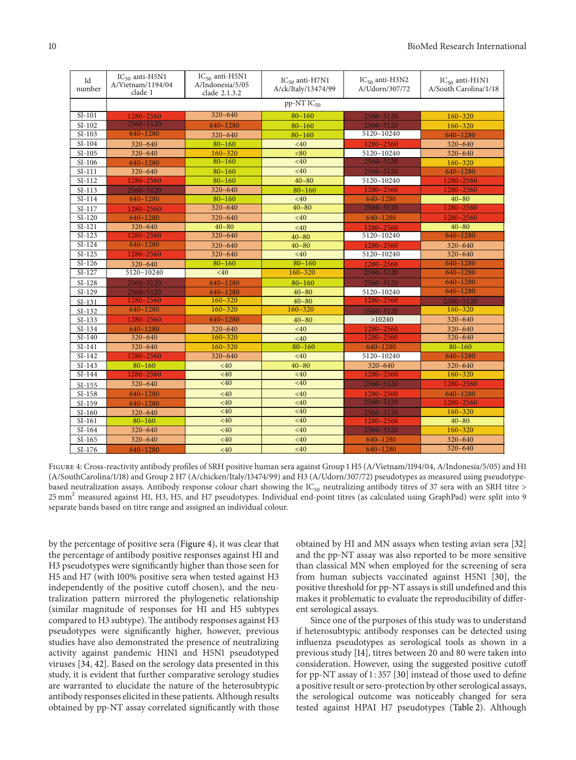| Id<br>number | $IC_{50}$ anti-H5N1<br>A/Vietnam/1194/04<br>clade 1 | $IC_{50}$ anti-H5N1<br>A/Indonesia/5/05<br>clade 2.1.3.2 | $IC_{50}$ anti-H7N1<br>A/ck/Italy/13474/99 | $IC_{50}$ anti-H3N2<br>A/Udorn/307/72 | $IC_{50}$ anti-H1N1<br>A/South Carolina/1/18 |  |  |  |
|--------------|-----------------------------------------------------|----------------------------------------------------------|--------------------------------------------|---------------------------------------|----------------------------------------------|--|--|--|
|              | $pp-NTIC_{50}$                                      |                                                          |                                            |                                       |                                              |  |  |  |
| $SI-101$     | 1280-2560                                           | $320 - 640$                                              | $80 - 160$                                 | 2560-5120                             | $160 - 320$                                  |  |  |  |
| $SI-102$     | $2560 - 5120$                                       | 640-1280                                                 | $80 - 160$                                 | 2560-5120                             | $160 - 320$                                  |  |  |  |
| $SI-103$     | 640-1280                                            | $320 - 640$                                              | $80 - 160$                                 | 5120-10240                            | 640-1280                                     |  |  |  |
| SI-104       | 320-640                                             | $80 - 160$                                               | <40                                        | 1280-2560                             | 320-640                                      |  |  |  |
| $SI-105$     | $320 - 640$                                         | $160 - 320$                                              | < 80                                       | 5120-10240                            | 320-640                                      |  |  |  |
| $SI-106$     | 640-1280                                            | $80 - 160$                                               | <40                                        | 2560-5120                             | $160 - 320$                                  |  |  |  |
| $SI-111$     | 320-640                                             | $80 - 160$                                               | <40                                        | 2560-5120                             | 640-1280                                     |  |  |  |
| $SI-112$     | 1280-2560                                           | $80 - 160$                                               | $40 - 80$                                  | 5120-10240                            | 1280-2560                                    |  |  |  |
| $SI-113$     | 2560-5120                                           | 320-640                                                  | $80 - 160$                                 | 1280-2560                             | 1280-2560                                    |  |  |  |
| $SI-114$     | 640-1280                                            | $80 - 160$                                               | <40                                        | 640-1280                              | $40 - 80$                                    |  |  |  |
| $SI-117$     | 1280-2560                                           | $320 - 640$                                              | $40 - 80$                                  | 2560-5120                             | 1280-2560                                    |  |  |  |
| $SI-120$     | 640-1280                                            | 320-640                                                  | <40                                        | 640-1280                              | 1280-2560                                    |  |  |  |
| $SI-121$     | 320-640                                             | $40 - 80$                                                | <40                                        | 1280-2560                             | $40 - 80$                                    |  |  |  |
| $SI-123$     | 1280-2560                                           | $320 - 640$                                              | $40 - 80$                                  | 5120-10240                            | 640-1280                                     |  |  |  |
| $SI-124$     | $640 - 1280$                                        | 320-640                                                  | $40 - 80$                                  | 1280-2560                             | $320 - 640$                                  |  |  |  |
| $SI-125$     | 1280-2560                                           | 320-640                                                  | <40                                        | 5120-10240                            | 320-640                                      |  |  |  |
| $SI-126$     | $320 - 640$                                         | $80 - 160$                                               | $80 - 160$                                 | 1280-2560                             | 640-1280                                     |  |  |  |
| $SI-127$     | 5120-10240                                          | <40                                                      | $160 - 320$                                | 2560-5120                             | 640-1280                                     |  |  |  |
| $SI-128$     | 2560-5120                                           | 640-1280                                                 | $80 - 160$                                 | 2560-5120                             | 640-1280                                     |  |  |  |
| $SI-129$     | 2560-5120                                           | 640-1280                                                 | $40 - 80$                                  | 5120-10240                            | 640-1280                                     |  |  |  |
| $SI-131$     | 1280-2560                                           | $160 - 320$                                              | $40 - 80$                                  | 1280-2560                             | 2560-5120                                    |  |  |  |
| $SI-132$     | 640-1280                                            | $160 - 320$                                              | $160 - 320$                                | 2560-5120                             | $160 - 320$                                  |  |  |  |
| $SI-133$     | 1280-2560                                           | 640-1280                                                 | $40 - 80$                                  | >10240                                | $320 - 640$                                  |  |  |  |
| $SI-134$     | $640 - 1280$                                        | $320 - 640$                                              | <40                                        | 1280-2560                             | 320-640                                      |  |  |  |
| $SI-140$     | $320 - 640$                                         | $160 - 320$                                              | <40                                        | 1280-2560                             | $320 - 640$                                  |  |  |  |
| $SI-141$     | $320 - 640$                                         | $160 - 320$                                              | $80 - 160$                                 | 640-1280                              | $80 - 160$                                   |  |  |  |
| $SI-142$     | 1280-2560                                           | $320 - 640$                                              | <40                                        | 5120-10240                            | 640-1280                                     |  |  |  |
| $SI-143$     | $80 - 160$                                          | <40                                                      | $40 - 80$                                  | 320-640                               | $320 - 640$                                  |  |  |  |
| $SI-144$     | 1280-2560                                           | <40                                                      | <40                                        | 1280-2560                             | $160 - 320$                                  |  |  |  |
| $SI-155$     | 320-640                                             | <40                                                      | <40                                        | 2560-5120                             | 1280-2560                                    |  |  |  |
| $SI-158$     | 640-1280                                            | <40                                                      | <40                                        | 1280-2560                             | 640-1280                                     |  |  |  |
| $SI-159$     | 640-1280                                            | <40                                                      | <40                                        | 2560-5120                             | 1280-2560                                    |  |  |  |
| $SI-160$     | 320-640                                             | <40                                                      | <40                                        | 2560-5120                             | $160 - 320$                                  |  |  |  |
| $SI-161$     | $80 - 160$                                          | <40                                                      | <40                                        | 1280-2560                             | $40 - 80$                                    |  |  |  |
| $SI-164$     | 320-640                                             | <40                                                      | <40                                        | 2560-5120                             | $160 - 320$                                  |  |  |  |
| $SI-165$     | 320-640                                             | <40                                                      | <40                                        | 640-1280                              | 320-640                                      |  |  |  |
| $SI-176$     | 640-1280                                            | <40                                                      | <40                                        | 640-1280                              | $320 - 640$                                  |  |  |  |

FIGURE 4: Cross-reactivity antibody profiles of SRH positive human sera against Group 1 H5 (A/Vietnam/1194/04, A/Indonesia/5/05) and H1 (A/SouthCarolina/1/18) and Group 2 H7 (A/chicken/Italy/13474/99) and H3 (A/Udorn/307/72) pseudotypes as measured using pseudotypebased neutralization assays. Antibody response colour chart showing the  $IC_{50}$  neutralizing antibody titres of 37 sera with an SRH titre > 25 mm<sup>2</sup> measured against H1, H3, H5, and H7 pseudotypes. Individual end-point titres (as calculated using GraphPad) were split into 9 separate bands based on titre range and assigned an individual colour.

by the percentage of positive sera (Figure 4), it was clear that the percentage of antibody positive responses against H1 and H3 pseudotypes were significantly higher than those seen for H5 and H7 (with 100% positive sera when tested against H3 independently of the positive cutoff chosen), and the neutralization pattern mirrored the phylogenetic relationship (similar magnitude of responses for H1 and H5 subtypes compared to H3 subtype). The antibody responses against H3 pseudotypes were signiicantly higher, however, previous studies have also demonstrated the presence of neutralizing activity against pandemic H1N1 and H5N1 pseudotyped viruses [34, 42]. Based on the serology data presented in this study, it is evident that further comparative serology studies are warranted to elucidate the nature of the heterosubtypic antibody responses elicited in these patients. Although results obtained by pp-NT assay correlated significantly with those

obtained by HI and MN assays when testing avian sera [32] and the pp-NT assay was also reported to be more sensitive than classical MN when employed for the screening of sera from human subjects vaccinated against H5N1 [30], the positive threshold for pp-NT assays is still undefined and this makes it problematic to evaluate the reproducibility of diferent serological assays.

Since one of the purposes of this study was to understand if heterosubtypic antibody responses can be detected using inluenza pseudotypes as serological tools as shown in a previous study [14], titres between 20 and 80 were taken into consideration. However, using the suggested positive cutof for pp-NT assay of 1:357 [30] instead of those used to define a positive result or sero-protection by other serological assays, the serological outcome was noticeably changed for sera tested against HPAI H7 pseudotypes (Table 2). Although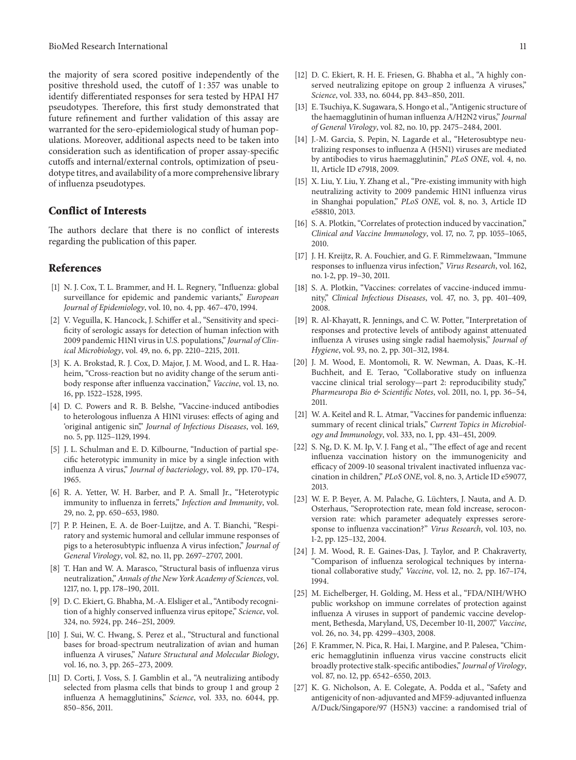the majority of sera scored positive independently of the positive threshold used, the cutoff of 1:357 was unable to identify diferentiated responses for sera tested by HPAI H7 pseudotypes. Therefore, this first study demonstrated that future refinement and further validation of this assay are warranted for the sero-epidemiological study of human populations. Moreover, additional aspects need to be taken into consideration such as identification of proper assay-specific cutofs and internal/external controls, optimization of pseudotype titres, and availability of a more comprehensive library of inluenza pseudotypes.

### Conflict of Interests

The authors declare that there is no conflict of interests regarding the publication of this paper.

#### References

- [1] N. J. Cox, T. L. Brammer, and H. L. Regnery, "Influenza: global surveillance for epidemic and pandemic variants," European Journal of Epidemiology, vol. 10, no. 4, pp. 467–470, 1994.
- [2] V. Veguilla, K. Hancock, J. Schifer et al., "Sensitivity and specificity of serologic assays for detection of human infection with 2009 pandemic H1N1 virus in U.S. populations," Journal of Clinical Microbiology, vol. 49, no. 6, pp. 2210–2215, 2011.
- [3] K. A. Brokstad, R. J. Cox, D. Major, J. M. Wood, and L. R. Haaheim, "Cross-reaction but no avidity change of the serum antibody response ater inluenza vaccination," Vaccine, vol. 13, no. 16, pp. 1522–1528, 1995.
- [4] D. C. Powers and R. B. Belshe, "Vaccine-induced antibodies to heterologous inluenza A H1N1 viruses: efects of aging and 'original antigenic sin'," Journal of Infectious Diseases, vol. 169, no. 5, pp. 1125–1129, 1994.
- [5] J. L. Schulman and E. D. Kilbourne, "Induction of partial specific heterotypic immunity in mice by a single infection with influenza A virus," Journal of bacteriology, vol. 89, pp. 170-174, 1965.
- [6] R. A. Yetter, W. H. Barber, and P. A. Small Jr., "Heterotypic immunity to influenza in ferrets," Infection and Immunity, vol. 29, no. 2, pp. 650–653, 1980.
- [7] P. P. Heinen, E. A. de Boer-Luijtze, and A. T. Bianchi, "Respiratory and systemic humoral and cellular immune responses of pigs to a heterosubtypic inluenza A virus infection," Journal of General Virology, vol. 82, no. 11, pp. 2697–2707, 2001.
- [8] T. Han and W. A. Marasco, "Structural basis of inluenza virus neutralization," Annals of the New York Academy of Sciences, vol. 1217, no. 1, pp. 178–190, 2011.
- [9] D. C. Ekiert, G. Bhabha, M.-A. Elsliger et al., "Antibody recognition of a highly conserved inluenza virus epitope," Science, vol. 324, no. 5924, pp. 246–251, 2009.
- [10] J. Sui, W. C. Hwang, S. Perez et al., "Structural and functional bases for broad-spectrum neutralization of avian and human inluenza A viruses," Nature Structural and Molecular Biology, vol. 16, no. 3, pp. 265–273, 2009.
- [11] D. Corti, J. Voss, S. J. Gamblin et al., "A neutralizing antibody selected from plasma cells that binds to group 1 and group 2 inluenza A hemagglutinins," Science, vol. 333, no. 6044, pp. 850–856, 2011.
- [12] D. C. Ekiert, R. H. E. Friesen, G. Bhabha et al., "A highly conserved neutralizing epitope on group 2 influenza A viruses," Science, vol. 333, no. 6044, pp. 843–850, 2011.
- [13] E. Tsuchiya, K. Sugawara, S. Hongo et al., "Antigenic structure of the haemagglutinin of human influenza A/H2N2 virus," Journal of General Virology, vol. 82, no. 10, pp. 2475–2484, 2001.
- [14] J.-M. Garcia, S. Pepin, N. Lagarde et al., "Heterosubtype neutralizing responses to inluenza A (H5N1) viruses are mediated by antibodies to virus haemagglutinin," PLoS ONE, vol. 4, no. 11, Article ID e7918, 2009.
- [15] X. Liu, Y. Liu, Y. Zhang et al., "Pre-existing immunity with high neutralizing activity to 2009 pandemic H1N1 inluenza virus in Shanghai population," PLoS ONE, vol. 8, no. 3, Article ID e58810, 2013.
- [16] S. A. Plotkin, "Correlates of protection induced by vaccination," Clinical and Vaccine Immunology, vol. 17, no. 7, pp. 1055–1065, 2010.
- [17] J. H. Kreijtz, R. A. Fouchier, and G. F. Rimmelzwaan, "Immune" responses to inluenza virus infection," Virus Research, vol. 162, no. 1-2, pp. 19–30, 2011.
- [18] S. A. Plotkin, "Vaccines: correlates of vaccine-induced immunity," Clinical Infectious Diseases, vol. 47, no. 3, pp. 401–409, 2008.
- [19] R. Al-Khayatt, R. Jennings, and C. W. Potter, "Interpretation of responses and protective levels of antibody against attenuated influenza A viruses using single radial haemolysis," Journal of Hygiene, vol. 93, no. 2, pp. 301–312, 1984.
- [20] J. M. Wood, E. Montomoli, R. W. Newman, A. Daas, K.-H. Buchheit, and E. Terao, "Collaborative study on inluenza vaccine clinical trial serology—part 2: reproducibility study," Pharmeuropa Bio & Scientific Notes, vol. 2011, no. 1, pp. 36-54, 2011.
- [21] W. A. Keitel and R. L. Atmar, "Vaccines for pandemic influenza: summary of recent clinical trials," Current Topics in Microbiology and Immunology, vol. 333, no. 1, pp. 431–451, 2009.
- [22] S. Ng, D. K. M. Ip, V. J. Fang et al., "The effect of age and recent inluenza vaccination history on the immunogenicity and efficacy of 2009-10 seasonal trivalent inactivated influenza vaccination in children," PLoS ONE, vol. 8, no. 3, Article ID e59077, 2013.
- [23] W. E. P. Beyer, A. M. Palache, G. Lüchters, J. Nauta, and A. D. Osterhaus, "Seroprotection rate, mean fold increase, seroconversion rate: which parameter adequately expresses seroresponse to inluenza vaccination?" Virus Research, vol. 103, no. 1-2, pp. 125–132, 2004.
- [24] J. M. Wood, R. E. Gaines-Das, J. Taylor, and P. Chakraverty, "Comparison of inluenza serological techniques by international collaborative study," Vaccine, vol. 12, no. 2, pp. 167–174, 1994.
- [25] M. Eichelberger, H. Golding, M. Hess et al., "FDA/NIH/WHO public workshop on immune correlates of protection against influenza A viruses in support of pandemic vaccine development, Bethesda, Maryland, US, December 10-11, 2007," Vaccine, vol. 26, no. 34, pp. 4299–4303, 2008.
- [26] F. Krammer, N. Pica, R. Hai, I. Margine, and P. Palesea, "Chimeric hemagglutinin inluenza virus vaccine constructs elicit broadly protective stalk-specific antibodies," Journal of Virology, vol. 87, no. 12, pp. 6542–6550, 2013.
- [27] K. G. Nicholson, A. E. Colegate, A. Podda et al., "Safety and antigenicity of non-adjuvanted and MF59-adjuvanted inluenza A/Duck/Singapore/97 (H5N3) vaccine: a randomised trial of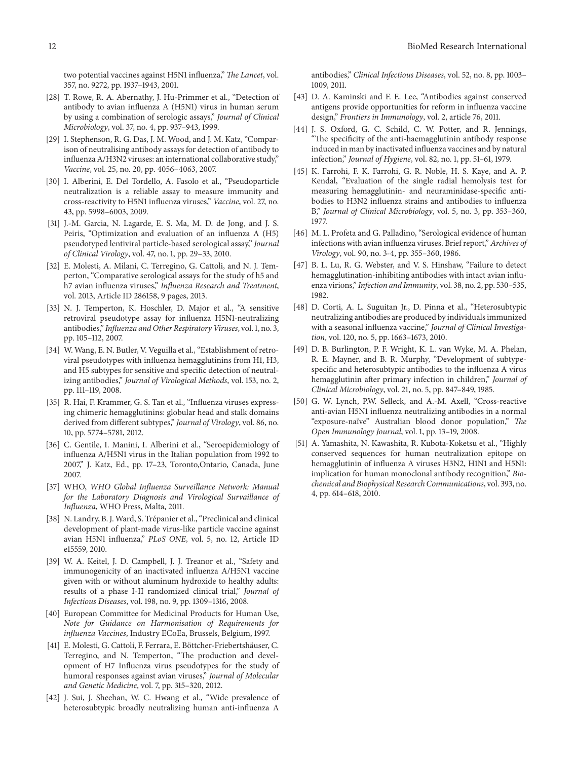two potential vaccines against H5N1 influenza," The Lancet, vol. 357, no. 9272, pp. 1937–1943, 2001.

- [28] T. Rowe, R. A. Abernathy, J. Hu-Primmer et al., "Detection of antibody to avian inluenza A (H5N1) virus in human serum by using a combination of serologic assays," Journal of Clinical Microbiology, vol. 37, no. 4, pp. 937–943, 1999.
- [29] I. Stephenson, R. G. Das, J. M. Wood, and J. M. Katz, "Comparison of neutralising antibody assays for detection of antibody to influenza A/H3N2 viruses: an international collaborative study," Vaccine, vol. 25, no. 20, pp. 4056–4063, 2007.
- [30] I. Alberini, E. Del Tordello, A. Fasolo et al., "Pseudoparticle neutralization is a reliable assay to measure immunity and cross-reactivity to H5N1 inluenza viruses," Vaccine, vol. 27, no. 43, pp. 5998–6003, 2009.
- [31] J.-M. Garcia, N. Lagarde, E. S. Ma, M. D. de Jong, and J. S. Peiris, "Optimization and evaluation of an inluenza A (H5) pseudotyped lentiviral particle-based serological assay," Journal of Clinical Virology, vol. 47, no. 1, pp. 29–33, 2010.
- [32] E. Molesti, A. Milani, C. Terregino, G. Cattoli, and N. J. Temperton, "Comparative serological assays for the study of h5 and h7 avian influenza viruses," Influenza Research and Treatment, vol. 2013, Article ID 286158, 9 pages, 2013.
- [33] N. J. Temperton, K. Hoschler, D. Major et al., "A sensitive retroviral pseudotype assay for inluenza H5N1-neutralizing antibodies," Influenza and Other Respiratory Viruses, vol. 1, no. 3, pp. 105–112, 2007.
- [34] W. Wang, E. N. Butler, V. Veguilla et al., "Establishment of retroviral pseudotypes with inluenza hemagglutinins from H1, H3, and H5 subtypes for sensitive and specific detection of neutralizing antibodies," Journal of Virological Methods, vol. 153, no. 2, pp. 111–119, 2008.
- [35] R. Hai, F. Krammer, G. S. Tan et al., "Influenza viruses expressing chimeric hemagglutinins: globular head and stalk domains derived from diferent subtypes," Journal of Virology, vol. 86, no. 10, pp. 5774–5781, 2012.
- [36] C. Gentile, I. Manini, I. Alberini et al., "Seroepidemiology of influenza A/H5N1 virus in the Italian population from 1992 to 2007," J. Katz, Ed., pp. 17–23, Toronto,Ontario, Canada, June 2007.
- [37] WHO, WHO Global Influenza Surveillance Network: Manual for the Laboratory Diagnosis and Virological Survaillance of Influenza, WHO Press, Malta, 2011.
- [38] N. Landry, B. J. Ward, S. Trépanier et al., "Preclinical and clinical development of plant-made virus-like particle vaccine against avian H5N1 inluenza," PLoS ONE, vol. 5, no. 12, Article ID e15559, 2010.
- [39] W. A. Keitel, J. D. Campbell, J. J. Treanor et al., "Safety and immunogenicity of an inactivated influenza A/H5N1 vaccine given with or without aluminum hydroxide to healthy adults: results of a phase I-II randomized clinical trial," Journal of Infectious Diseases, vol. 198, no. 9, pp. 1309–1316, 2008.
- [40] European Committee for Medicinal Products for Human Use, Note for Guidance on Harmonisation of Requirements for influenza Vaccines, Industry ECoEa, Brussels, Belgium, 1997.
- [41] E. Molesti, G. Cattoli, F. Ferrara, E. Böttcher-Friebertshäuser, C. Terregino, and N. Temperton, "The production and development of H7 Inluenza virus pseudotypes for the study of humoral responses against avian viruses," Journal of Molecular and Genetic Medicine, vol. 7, pp. 315–320, 2012.
- [42] J. Sui, J. Sheehan, W. C. Hwang et al., "Wide prevalence of heterosubtypic broadly neutralizing human anti-inluenza A

antibodies," Clinical Infectious Diseases, vol. 52, no. 8, pp. 1003– 1009, 2011.

- [43] D. A. Kaminski and F. E. Lee, "Antibodies against conserved antigens provide opportunities for reform in inluenza vaccine design," Frontiers in Immunology, vol. 2, article 76, 2011.
- [44] J. S. Oxford, G. C. Schild, C. W. Potter, and R. Jennings, "The specificity of the anti-haemagglutinin antibody response induced in man by inactivated influenza vaccines and by natural infection," Journal of Hygiene, vol. 82, no. 1, pp. 51–61, 1979.
- [45] K. Farrohi, F. K. Farrohi, G. R. Noble, H. S. Kaye, and A. P. Kendal, "Evaluation of the single radial hemolysis test for measuring hemagglutinin- and neuraminidase-specific antibodies to H3N2 inluenza strains and antibodies to inluenza B," Journal of Clinical Microbiology, vol. 5, no. 3, pp. 353–360, 1977.
- [46] M. L. Profeta and G. Palladino, "Serological evidence of human infections with avian influenza viruses. Brief report," Archives of Virology, vol. 90, no. 3-4, pp. 355–360, 1986.
- [47] B. L. Lu, R. G. Webster, and V. S. Hinshaw, "Failure to detect hemagglutination-inhibiting antibodies with intact avian inluenza virions," Infection and Immunity, vol. 38, no. 2, pp. 530–535, 1982.
- [48] D. Corti, A. L. Suguitan Jr., D. Pinna et al., "Heterosubtypic neutralizing antibodies are produced by individuals immunized with a seasonal influenza vaccine," Journal of Clinical Investigation, vol. 120, no. 5, pp. 1663–1673, 2010.
- [49] D. B. Burlington, P. F. Wright, K. L. van Wyke, M. A. Phelan, R. E. Mayner, and B. R. Murphy, "Development of subtypespecific and heterosubtypic antibodies to the influenza A virus hemagglutinin after primary infection in children," Journal of Clinical Microbiology, vol. 21, no. 5, pp. 847–849, 1985.
- [50] G. W. Lynch, P.W. Selleck, and A.-M. Axell, "Cross-reactive anti-avian H5N1 inluenza neutralizing antibodies in a normal "exposure-naïve" Australian blood donor population," The Open Immunology Journal, vol. 1, pp. 13–19, 2008.
- [51] A. Yamashita, N. Kawashita, R. Kubota-Koketsu et al., "Highly conserved sequences for human neutralization epitope on hemagglutinin of influenza A viruses H3N2, H1N1 and H5N1: implication for human monoclonal antibody recognition," Biochemical and Biophysical Research Communications, vol. 393, no. 4, pp. 614–618, 2010.